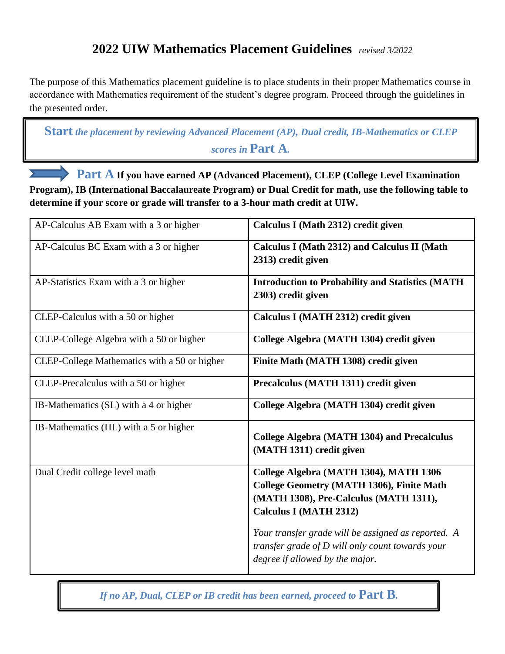## **2022 UIW Mathematics Placement Guidelines** *revised 3/2022*

The purpose of this Mathematics placement guideline is to place students in their proper Mathematics course in accordance with Mathematics requirement of the student's degree program. Proceed through the guidelines in the presented order.

**Start** *the placement by reviewing Advanced Placement (AP), Dual credit, IB-Mathematics or CLEP scores in* **Part A***.*

 **Part A If you have earned AP (Advanced Placement), CLEP (College Level Examination Program), IB (International Baccalaureate Program) or Dual Credit for math, use the following table to determine if your score or grade will transfer to a 3-hour math credit at UIW.** *.*

| AP-Calculus AB Exam with a 3 or higher       | Calculus I (Math 2312) credit given                                                                                                                                   |
|----------------------------------------------|-----------------------------------------------------------------------------------------------------------------------------------------------------------------------|
| AP-Calculus BC Exam with a 3 or higher       | Calculus I (Math 2312) and Calculus II (Math<br>2313) credit given                                                                                                    |
| AP-Statistics Exam with a 3 or higher        | <b>Introduction to Probability and Statistics (MATH</b><br>2303) credit given                                                                                         |
| CLEP-Calculus with a 50 or higher            | Calculus I (MATH 2312) credit given                                                                                                                                   |
| CLEP-College Algebra with a 50 or higher     | College Algebra (MATH 1304) credit given                                                                                                                              |
| CLEP-College Mathematics with a 50 or higher | Finite Math (MATH 1308) credit given                                                                                                                                  |
| CLEP-Precalculus with a 50 or higher         | Precalculus (MATH 1311) credit given                                                                                                                                  |
| IB-Mathematics (SL) with a 4 or higher       | College Algebra (MATH 1304) credit given                                                                                                                              |
| IB-Mathematics (HL) with a 5 or higher       | <b>College Algebra (MATH 1304) and Precalculus</b><br>(MATH 1311) credit given                                                                                        |
| Dual Credit college level math               | College Algebra (MATH 1304), MATH 1306<br><b>College Geometry (MATH 1306), Finite Math</b><br>(MATH 1308), Pre-Calculus (MATH 1311),<br><b>Calculus I (MATH 2312)</b> |
|                                              | Your transfer grade will be assigned as reported. A<br>transfer grade of D will only count towards your<br>degree if allowed by the major.                            |

*If no AP, Dual, CLEP or IB credit has been earned, proceed to* **Part B***.*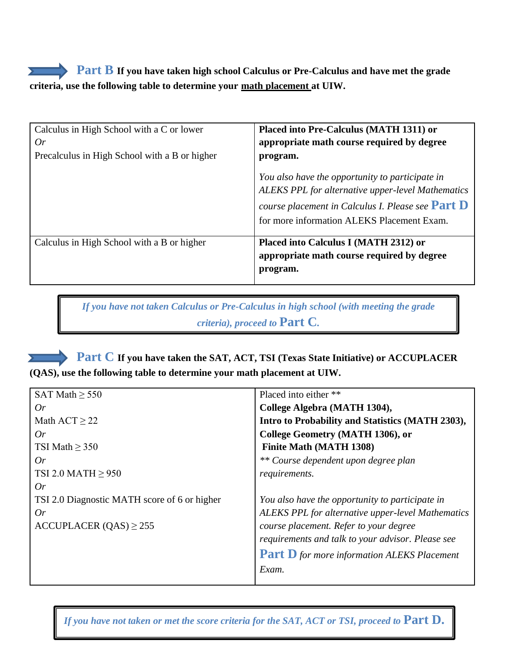## **Part B** If you have taken high school Calculus or Pre-Calculus and have met the grade **criteria, use the following table to determine your math placement at UIW.**

| Calculus in High School with a C or lower<br>0r<br>Precalculus in High School with a B or higher | Placed into Pre-Calculus (MATH 1311) or<br>appropriate math course required by degree<br>program.                                                                                                         |
|--------------------------------------------------------------------------------------------------|-----------------------------------------------------------------------------------------------------------------------------------------------------------------------------------------------------------|
|                                                                                                  | You also have the opportunity to participate in<br>ALEKS PPL for alternative upper-level Mathematics<br>course placement in Calculus I. Please see Part $D$<br>for more information ALEKS Placement Exam. |
| Calculus in High School with a B or higher                                                       | Placed into Calculus I (MATH 2312) or<br>appropriate math course required by degree<br>program.                                                                                                           |

*If you have not taken Calculus or Pre-Calculus in high school (with meeting the grade criteria), proceed to* **Part C***.*

 **Part C If you have taken the SAT, ACT, TSI (Texas State Initiative) or ACCUPLACER (QAS), use the following table to determine your math placement at UIW.** *.*

| SAT Math $\geq$ 550                          | Placed into either **                                    |
|----------------------------------------------|----------------------------------------------------------|
| Or                                           | College Algebra (MATH 1304),                             |
| Math $ACT \geq 22$                           | Intro to Probability and Statistics (MATH 2303),         |
| Or                                           | College Geometry (MATH 1306), or                         |
| TSI Math $\geq$ 350                          | <b>Finite Math (MATH 1308)</b>                           |
| Or                                           | ** Course dependent upon degree plan                     |
| TSI 2.0 MATH $\geq$ 950                      | requirements.                                            |
| 0r                                           |                                                          |
| TSI 2.0 Diagnostic MATH score of 6 or higher | You also have the opportunity to participate in          |
| Or                                           | <b>ALEKS PPL</b> for alternative upper-level Mathematics |
| $ACCUPLACER (QAS) \ge 255$                   | course placement. Refer to your degree                   |
|                                              | requirements and talk to your advisor. Please see        |
|                                              | <b>Part D</b> for more information ALEKS Placement       |
|                                              | Exam.                                                    |
|                                              |                                                          |

*If you have not taken or met the score criteria for the SAT, ACT or TSI, proceed to Part D.* 

*.*